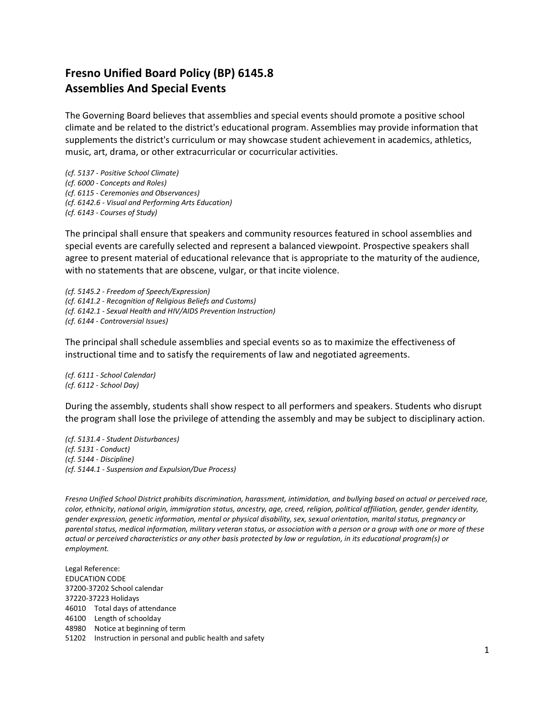## **Fresno Unified Board Policy (BP) 6145.8 Assemblies And Special Events**

The Governing Board believes that assemblies and special events should promote a positive school climate and be related to the district's educational program. Assemblies may provide information that supplements the district's curriculum or may showcase student achievement in academics, athletics, music, art, drama, or other extracurricular or cocurricular activities.

*(cf. 5137 - Positive School Climate) (cf. 6000 - Concepts and Roles) (cf. 6115 - Ceremonies and Observances) (cf. 6142.6 - Visual and Performing Arts Education) (cf. 6143 - Courses of Study)*

The principal shall ensure that speakers and community resources featured in school assemblies and special events are carefully selected and represent a balanced viewpoint. Prospective speakers shall agree to present material of educational relevance that is appropriate to the maturity of the audience, with no statements that are obscene, vulgar, or that incite violence.

*(cf. 5145.2 - Freedom of Speech/Expression) (cf. 6141.2 - Recognition of Religious Beliefs and Customs) (cf. 6142.1 - Sexual Health and HIV/AIDS Prevention Instruction) (cf. 6144 - Controversial Issues)*

The principal shall schedule assemblies and special events so as to maximize the effectiveness of instructional time and to satisfy the requirements of law and negotiated agreements.

*(cf. 6111 - School Calendar) (cf. 6112 - School Day)*

During the assembly, students shall show respect to all performers and speakers. Students who disrupt the program shall lose the privilege of attending the assembly and may be subject to disciplinary action.

*(cf. 5131.4 - Student Disturbances) (cf. 5131 - Conduct) (cf. 5144 - Discipline) (cf. 5144.1 - Suspension and Expulsion/Due Process)*

*Fresno Unified School District prohibits discrimination, harassment, intimidation, and bullying based on actual or perceived race, color, ethnicity, national origin, immigration status, ancestry, age, creed, religion, political affiliation, gender, gender identity, gender expression, genetic information, mental or physical disability, sex, sexual orientation, marital status, pregnancy or parental status, medical information, military veteran status, or association with a person or a group with one or more of these actual or perceived characteristics or any other basis protected by law or regulation, in its educational program(s) or employment.*

Legal Reference: EDUCATION CODE 37200-37202 School calendar 37220-37223 Holidays 46010 Total days of attendance 46100 Length of schoolday 48980 Notice at beginning of term 51202 Instruction in personal and public health and safety